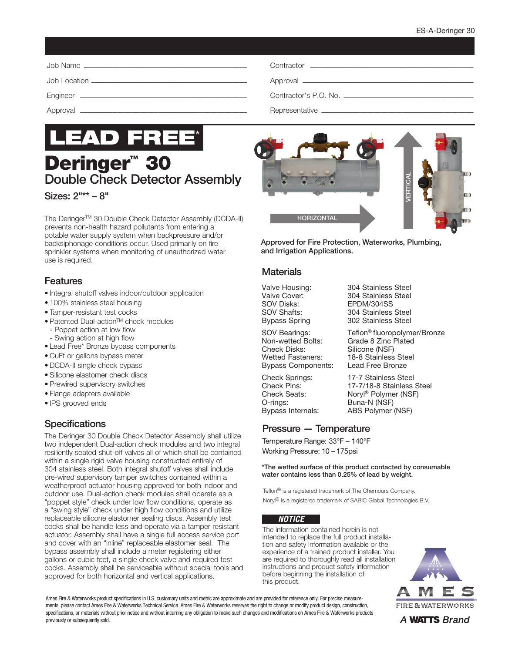

**Deringer<sup>™</sup> 30** Double Check Detector Assembly Sizes: 2"\*\* – 8"

The Deringer™ 30 Double Check Detector Assembly (DCDA-II) prevents non-health hazard pollutants from entering a potable water supply system when backpressure and/or backsiphonage conditions occur. Used primarily on fire sprinkler systems when monitoring of unauthorized water use is required.

### Features

- Integral shutoff valves indoor/outdoor application
- 100% stainless steel housing
- Tamper-resistant test cocks
- Patented Dual-action™ check modules
- Poppet action at low flow
- Swing action at high flow
- Lead Free\* Bronze bypass components
- CuFt or gallons bypass meter
- DCDA-II single check bypass
- Silicone elastomer check discs
- Prewired supervisory switches
- Flange adapters available
- IPS grooved ends

# **Specifications**

The Deringer 30 Double Check Detector Assembly shall utilize two independent Dual-action check modules and two integral resiliently seated shut-off valves all of which shall be contained within a single rigid valve housing constructed entirely of 304 stainless steel. Both integral shutoff valves shall include pre-wired supervisory tamper switches contained within a weatherproof actuator housing approved for both indoor and outdoor use. Dual-action check modules shall operate as a "poppet style" check under low flow conditions, operate as a "swing style" check under high flow conditions and utilize replaceable silicone elastomer sealing discs. Assembly test cocks shall be handle-less and operate via a tamper resistant actuator. Assembly shall have a single full access service port and cover with an "inline" replaceable elastomer seal. The bypass assembly shall include a meter registering either gallons or cubic feet, a single check valve and required test cocks. Assembly shall be serviceable without special tools and approved for both horizontal and vertical applications.



Approved for Fire Protection, Waterworks, Plumbing, and Irrigation Applications.

#### **Materials**

Non-wetted Bolts: Grade 8 Zinc Plated<br>Check Disks: Silicone (NSF) Check Disks: Silicone (NSF)<br>Wetted Fasteners: 18-8 Stainless Bypass Components: Lead Free Bronze

O-rings: Buna-N (NSF)<br>Bypass Internals: ABS Polymer

Valve Housing: 304 Stainless Steel Valve Cover: 304 Stainless Steel<br>SOV Disks: EPDM/304SS EPDM/304SS SOV Shafts: 304 Stainless Steel Bypass Spring 302 Stainless Steel

SOV Bearings: Teflon<sup>®</sup> fluoropolymer/Bronze 18-8 Stainless Steel

Check Springs: 17-7 Stainless Steel<br>Check Pins: 17-7/18-8 Stainless 17-7/18-8 Stainless Steel Check Seats: Noryl® Polymer (NSF) ABS Polymer (NSF)

### Pressure — Temperature

Temperature Range: 33°F – 140°F Working Pressure: 10 – 175psi

\*The wetted surface of this product contacted by consumable water contains less than 0.25% of lead by weight.

Teflon® is a registered trademark of The Chemours Company. Noryl® is a registered trademark of SABIC Global Technologies B.V.

#### *NOTICE*

The information contained herein is not intended to replace the full product installation and safety information available or the experience of a trained product installer. You are required to thoroughly read all installation instructions and product safety information before beginning the installation of this product.



Ames Fire & Waterworks product specifications in U.S. customary units and metric are approximate and are provided for reference only. For precise measurements, please contact Ames Fire & Waterworks Technical Service. Ames Fire & Waterworks reserves the right to change or modify product design, construction, specifications, or materials without prior notice and without incurring any obligation to make such changes and modifications on Ames Fire & Waterworks products previously or subsequently sold.

A **WATTS** Brand